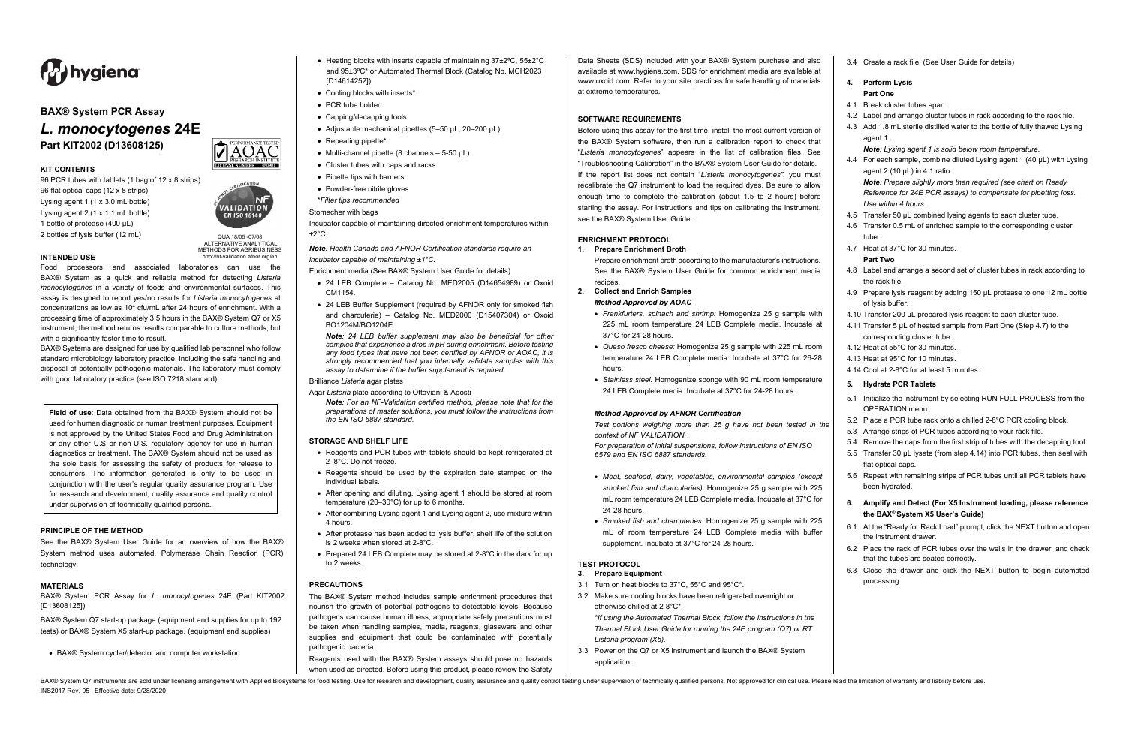BAX® System Q7 instruments are sold under licensing arrangement with Applied Biosystems for food testing. Use for research and development, quality assurance and quality control testing under supervision of technically qua INS2017 Rev. 05 Effective date: 9/28/2020



Food processors and associated laboratories can use the BAX® System as a quick and reliable method for detecting *Listeria monocytogenes* in a variety of foods and environmental surfaces. This assay is designed to report yes/no results for *Listeria monocytogenes* at concentrations as low as 10<sup>4</sup> cfu/mL after 24 hours of enrichment. With a processing time of approximately 3.5 hours in the BAX® System Q7 or X5 instrument, the method returns results comparable to culture methods, but with a significantly faster time to result.

QUA 18/05 -07/08 ALTERNATIVE ANALYTICAL METHODS FOR AGRIBUSINESS http://nf-validation.afnor.org/en



# **BAX® System PCR Assay**

# *L. monocytogenes* **24E Part KIT2002 (D13608125)**



**KIT CONTENTS**

96 PCR tubes with tablets (1 bag of 12 x 8 strips) 96 flat optical caps (12 x 8 strips) Lysing agent 1 (1 x 3.0 mL bottle) Lysing agent 2 (1 x 1.1 mL bottle)

**VALIDATION EN ISO 16140** 

1 bottle of protease (400 µL) 2 bottles of lysis buffer (12 mL)

**INTENDED USE**

BAX® Systems are designed for use by qualified lab personnel who follow standard microbiology laboratory practice, including the safe handling and disposal of potentially pathogenic materials. The laboratory must comply with good laboratory practice (see ISO 7218 standard).

Incubator capable of maintaining directed enrichment temperatures within  $±2°C.$ 

**Field of use**: Data obtained from the BAX® System should not be used for human diagnostic or human treatment purposes. Equipment is not approved by the United States Food and Drug Administration or any other U.S or non-U.S. regulatory agency for use in human diagnostics or treatment. The BAX® System should not be used as the sole basis for assessing the safety of products for release to consumers. The information generated is only to be used in conjunction with the user's regular quality assurance program. Use for research and development, quality assurance and quality control under supervision of technically qualified persons.

# **PRINCIPLE OF THE METHOD**

See the BAX® System User Guide for an overview of how the BAX® System method uses automated, Polymerase Chain Reaction (PCR) technology.

#### **MATERIALS**

BAX® System PCR Assay for *L. monocytogenes* 24E (Part KIT2002 [D13608125])

BAX® System Q7 start-up package (equipment and supplies for up to 192 tests) or BAX® System X5 start-up package. (equipment and supplies)

• BAX® System cycler/detector and computer workstation

- Heating blocks with inserts capable of maintaining 37±2ºC, 55±2°C and 95±3ºC\* or Automated Thermal Block (Catalog No. MCH2023 [D14614252])
- Cooling blocks with inserts\*
- PCR tube holder
- Capping/decapping tools
- Adjustable mechanical pipettes (5–50 µL; 20–200 µL)
- Repeating pipette\*
- Multi-channel pipette (8 channels  $-5-50 \mu L$ )
- Cluster tubes with caps and racks
- Pipette tips with barriers
- Powder-free nitrile gloves
- \**Filter tips recommended*

# Stomacher with bags

*Note: Health Canada and AFNOR Certification standards require an incubator capable of maintaining ±1°C.*

- Enrichment media (See BAX® System User Guide for details)
- 24 LEB Complete Catalog No. MED2005 (D14654989) or Oxoid CM1154.
- 24 LEB Buffer Supplement (required by AFNOR only for smoked fish and charcuterie) – Catalog No. MED2000 (D15407304) or Oxoid BO1204M/BO1204E.

*Note: 24 LEB buffer supplement may also be beneficial for other samples that experience a drop in pH during enrichment. Before testing any food types that have not been certified by AFNOR or AOAC, it is strongly recommended that you internally validate samples with this assay to determine if the buffer supplement is required*.

Brilliance *Listeria* agar plates

Agar *Listeria* plate according to Ottaviani & Agosti

*Note: For an NF-Validation certified method, please note that for the preparations of master solutions, you must follow the instructions from the EN ISO 6887 standard.*

#### **STORAGE AND SHELF LIFE**

- Reagents and PCR tubes with tablets should be kept refrigerated at 2–8°C. Do not freeze.
- Reagents should be used by the expiration date stamped on the individual labels.
- After opening and diluting, Lysing agent 1 should be stored at room temperature (20–30°C) for up to 6 months.
- After combining Lysing agent 1 and Lysing agent 2, use mixture within 4 hours.
- After protease has been added to lysis buffer, shelf life of the solution is 2 weeks when stored at 2-8°C.
- Prepared 24 LEB Complete may be stored at 2-8°C in the dark for up to 2 weeks.

# **PRECAUTIONS**

The BAX® System method includes sample enrichment procedures that nourish the growth of potential pathogens to detectable levels. Because pathogens can cause human illness, appropriate safety precautions must be taken when handling samples, media, reagents, glassware and other supplies and equipment that could be contaminated with potentially pathogenic bacteria.

Reagents used with the BAX® System assays should pose no hazards when used as directed. Before using this product, please review the Safety

Data Sheets (SDS) included with your BAX® System purchase and also available at www.hygiena.com. SDS for enrichment media are available at www.oxoid.com. Refer to your site practices for safe handling of materials at extreme temperatures.

#### **SOFTWARE REQUIREMENTS**

Before using this assay for the first time, install the most current version of the BAX® System software, then run a calibration report to check that "*Listeria monocytogenes*" appears in the list of calibration files. See "Troubleshooting Calibration" in the BAX® System User Guide for details. If the report list does not contain "*Listeria monocytogenes"*, you must recalibrate the Q7 instrument to load the required dyes. Be sure to allow enough time to complete the calibration (about 1.5 to 2 hours) before starting the assay. For instructions and tips on calibrating the instrument, see the BAX® System User Guide.

# **ENRICHMENT PROTOCOL**

#### **1. Prepare Enrichment Broth**

Prepare enrichment broth according to the manufacturer's instructions. See the BAX® System User Guide for common enrichment media recipes.

**2. Collect and Enrich Samples**

## *Method Approved by AOAC*

- *Frankfurters, spinach and shrimp:* Homogenize 25 g sample with 225 mL room temperature 24 LEB Complete media. Incubate at 37°C for 24-28 hours.
- *Queso fresco cheese:* Homogenize 25 g sample with 225 mL room temperature 24 LEB Complete media. Incubate at 37°C for 26-28 hours.
- *Stainless steel:* Homogenize sponge with 90 mL room temperature 24 LEB Complete media. Incubate at 37°C for 24-28 hours.

#### *Method Approved by AFNOR Certification*

*Test portions weighing more than 25 g have not been tested in the context of NF VALIDATION. For preparation of initial suspensions, follow instructions of EN ISO* 

*6579 and EN ISO 6887 standards.* • *Meat, seafood, dairy, vegetables, environmental samples (except* 

- *smoked fish and charcuteries)*: Homogenize 25 g sample with 225 mL room temperature 24 LEB Complete media. Incubate at 37°C for 24-28 hours.
- *Smoked fish and charcuteries:* Homogenize 25 g sample with 225 mL of room temperature 24 LEB Complete media with buffer supplement. Incubate at 37°C for 24-28 hours.

# **TEST PROTOCOL**

- **3. Prepare Equipment**
- 3.1 Turn on heat blocks to 37°C, 55°C and 95°C\*.
- 3.2 Make sure cooling blocks have been refrigerated overnight or otherwise chilled at 2-8°C\*.

*\*If using the Automated Thermal Block, follow the instructions in the Thermal Block User Guide for running the 24E program (Q7) or RT Listeria program (X5).*

3.3 Power on the Q7 or X5 instrument and launch the BAX® System application.

3.4 Create a rack file. (See User Guide for details)

# **4. Perform Lysis Part One**

- 4.1 Break cluster tubes apart.
- 4.2 Label and arrange cluster tubes in rack according to the rack file.
- 4.3 Add 1.8 mL sterile distilled water to the bottle of fully thawed Lysing agent 1.

*Note: Lysing agent 1 is solid below room temperature.*

4.4 For each sample, combine diluted Lysing agent 1 (40 µL) with Lysing agent 2 (10 µL) in 4:1 ratio.

*Note: Prepare slightly more than required (see chart on Ready Reference for 24E PCR assays) to compensate for pipetting loss. Use within 4 hours.*

- 4.5 Transfer 50 µL combined lysing agents to each cluster tube.
- 4.6 Transfer 0.5 mL of enriched sample to the corresponding cluster tube.
- 4.7 Heat at 37°C for 30 minutes.

#### **Part Two**

- 4.8 Label and arrange a second set of cluster tubes in rack according to the rack file.
- 4.9 Prepare lysis reagent by adding 150 µL protease to one 12 mL bottle of lysis buffer.
- 4.10 Transfer 200 µL prepared lysis reagent to each cluster tube.
- 4.11 Transfer 5 µL of heated sample from Part One (Step 4.7) to the corresponding cluster tube.
- 4.12 Heat at 55°C for 30 minutes.
- 4.13 Heat at 95°C for 10 minutes.
- 4.14 Cool at 2-8°C for at least 5 minutes.

# **5. Hydrate PCR Tablets**

- 5.1 Initialize the instrument by selecting RUN FULL PROCESS from the OPERATION menu.
- 5.2 Place a PCR tube rack onto a chilled 2-8°C PCR cooling block.
- 5.3 Arrange strips of PCR tubes according to your rack file.
- 5.4 Remove the caps from the first strip of tubes with the decapping tool.
- 5.5 Transfer 30 µL lysate (from step 4.14) into PCR tubes, then seal with flat optical caps.
- 5.6 Repeat with remaining strips of PCR tubes until all PCR tablets have been hydrated.
- **6. Amplify and Detect (For X5 Instrument loading, please reference the BAX® System X5 User's Guide)**
- 6.1 At the "Ready for Rack Load" prompt, click the NEXT button and open the instrument drawer.
- 6.2 Place the rack of PCR tubes over the wells in the drawer, and check that the tubes are seated correctly.
- 6.3 Close the drawer and click the NEXT button to begin automated processing.